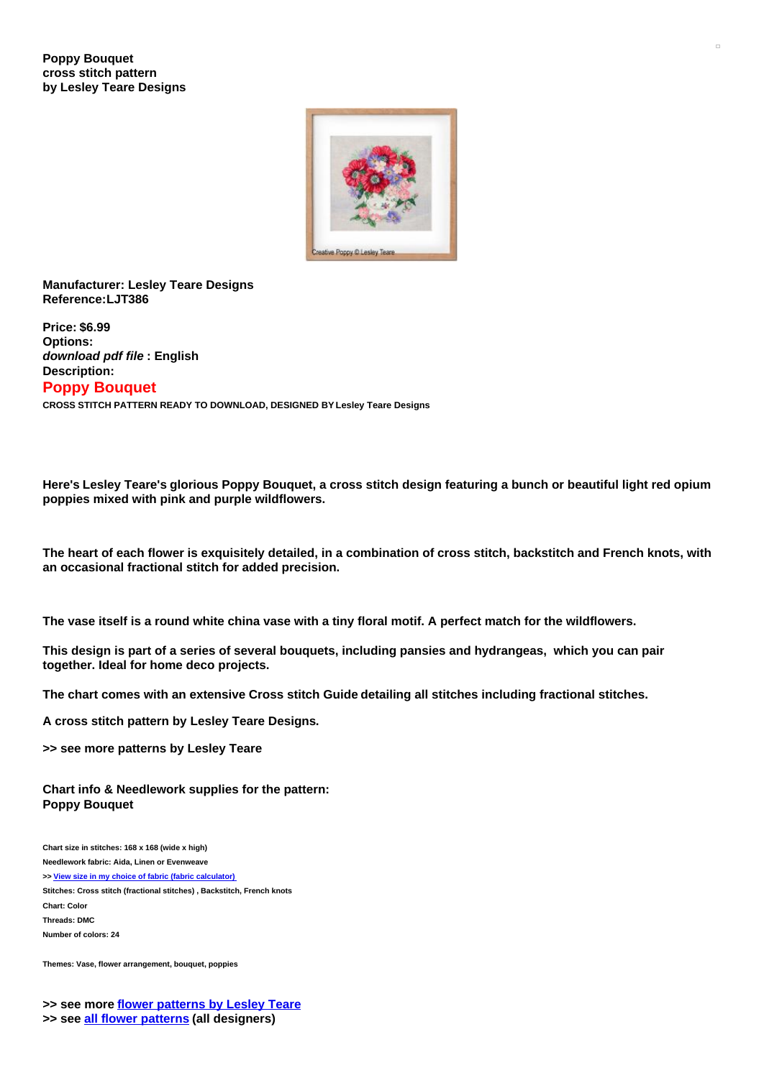

## **Manufacturer: Lesley Teare Designs Reference:LJT386**

**Price: \$6.99 Options:** *download pdf file* **: English Description: Poppy Bouquet**

**CROSS STITCH PATTERN READY TO DOWNLOAD, DESIGNED BY Lesley Teare Designs**

Here's Lesley Teare's glorious Poppy Bouguet, a cross stitch design featuring a bunch or beautiful light red opium **poppies mixed with pink and purple wildflowers.**

The heart of each flower is exquisitely detailed, in a combination of cross stitch, backstitch and French knots, with **an occasional fractional stitch for added precision.**

The vase itself is a round white china vase with a tiny floral motif. A perfect match for the wildflowers.

This design is part of a series of several bouquets, including pansies and hydrangeas, which you can pair **together. Ideal for home deco projects.**

**The chart comes with an extensive Cross stitch Guide detailing all stitches including fractional stitches.**

**A cross stitch pattern by Lesley Teare Designs.**

**>> see more patterns by Lesley Teare**

**Chart info & Needlework supplies for the pattern: Poppy Bouquet**

**Chart size in stitches: 168 x 168 (wide x high) Needlework fabric: Aida, Linen or Evenweave >> View size in my choice of fabric (fabric [calculator\)](https://www.creativepoppypatterns.com/calculette-de-toile.php?products_id=&w=&h=) Stitches: Cross stitch (fractional stitches) , Backstitch, French knots Chart: Color Threads: DMC Number of colors: 24**

**Themes: Vase, flower arrangement, bouquet, poppies**